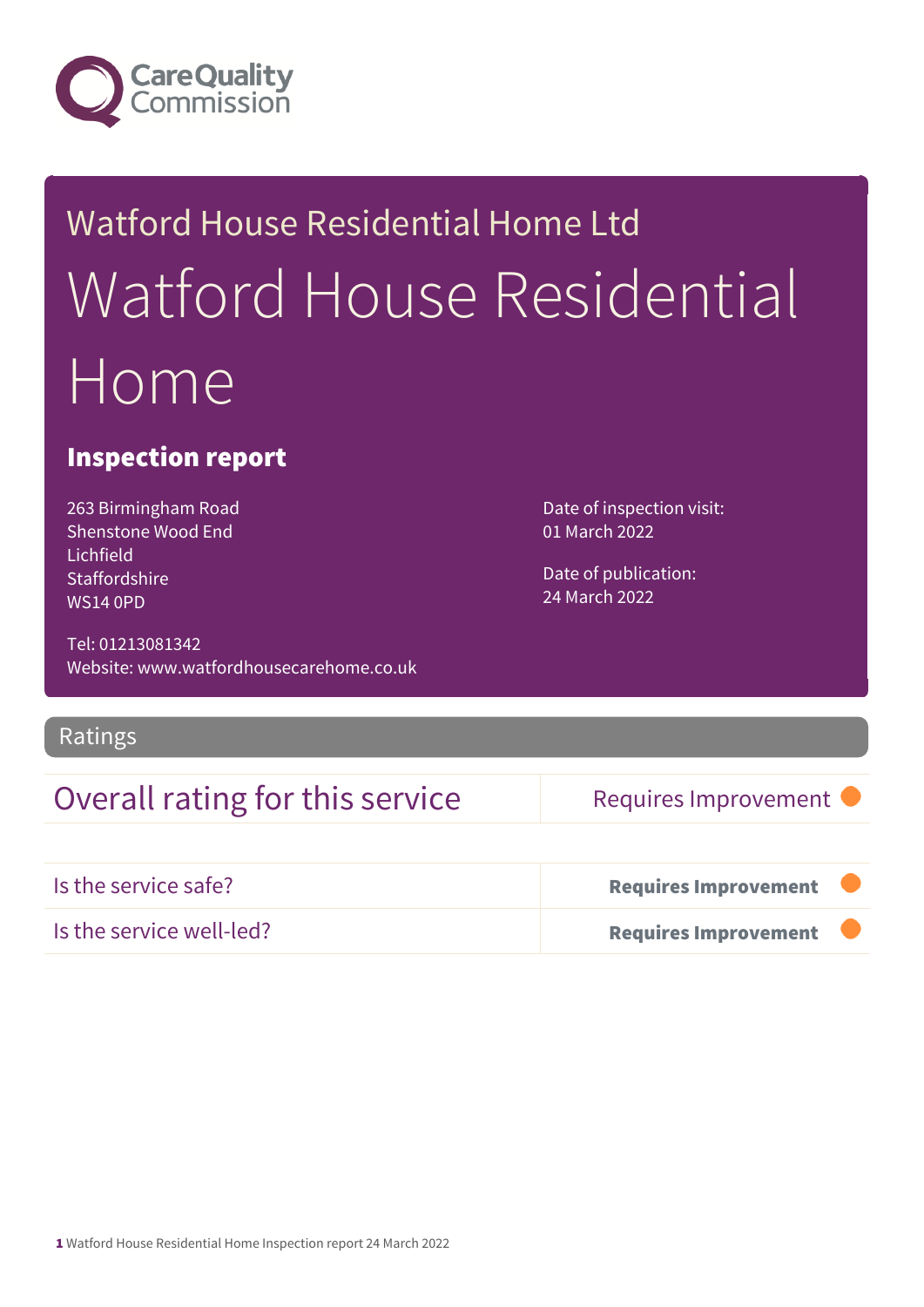

# Watford House Residential Home Ltd Watford House Residential Home

## Inspection report

263 Birmingham Road Shenstone Wood End Lichfield **Staffordshire** WS14 0PD

Tel: 01213081342 Website: www.watfordhousecarehome.co.uk Date of publication: 24 March 2022

01 March 2022

Date of inspection visit:

### Ratings

## Overall rating for this service Requires Improvement

| Is the service safe?     | Requires Improvement        |  |
|--------------------------|-----------------------------|--|
| Is the service well-led? | <b>Requires Improvement</b> |  |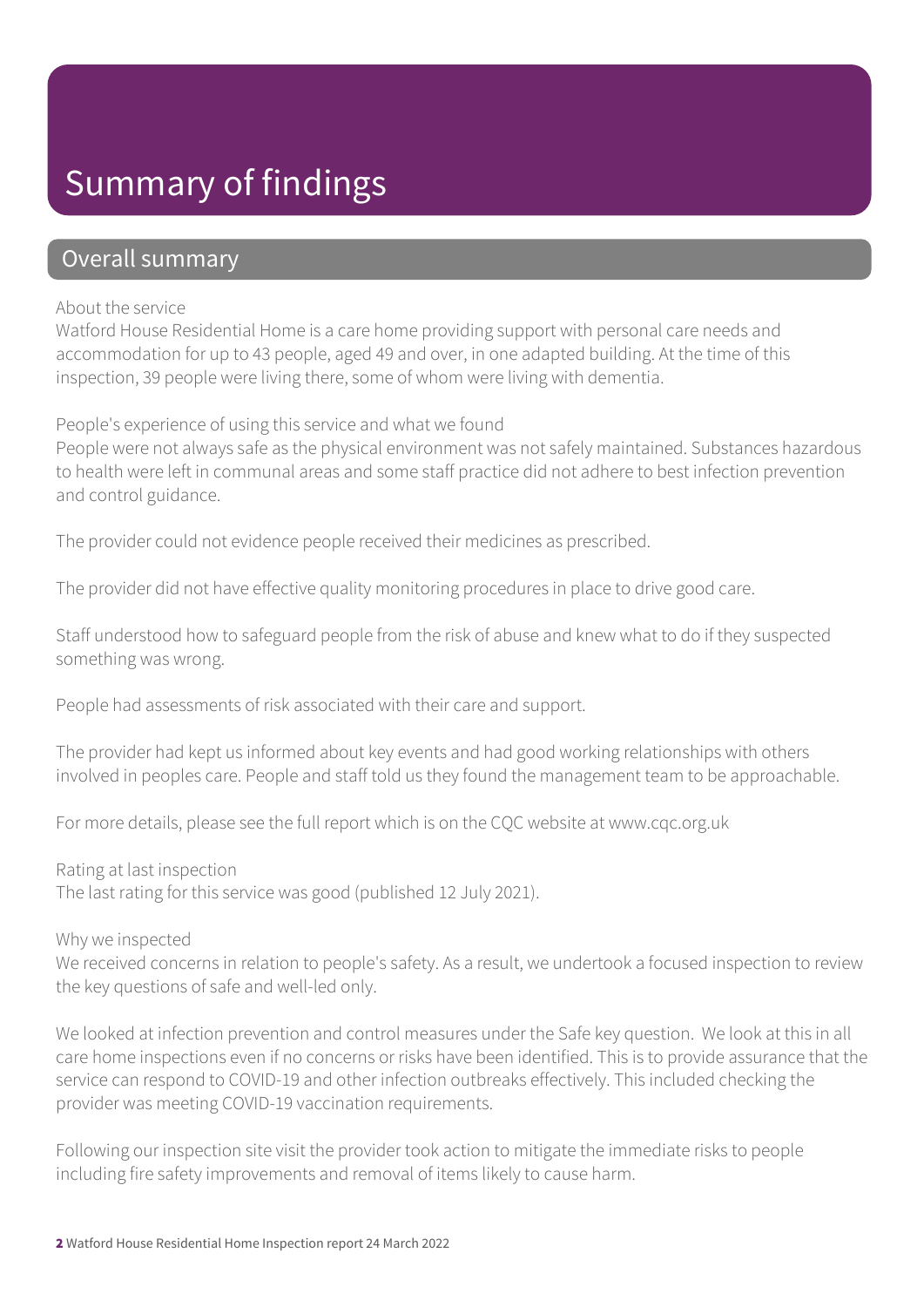# Summary of findings

## Overall summary

#### About the service

Watford House Residential Home is a care home providing support with personal care needs and accommodation for up to 43 people, aged 49 and over, in one adapted building. At the time of this inspection, 39 people were living there, some of whom were living with dementia.

People's experience of using this service and what we found

People were not always safe as the physical environment was not safely maintained. Substances hazardous to health were left in communal areas and some staff practice did not adhere to best infection prevention and control guidance.

The provider could not evidence people received their medicines as prescribed.

The provider did not have effective quality monitoring procedures in place to drive good care.

Staff understood how to safeguard people from the risk of abuse and knew what to do if they suspected something was wrong.

People had assessments of risk associated with their care and support.

The provider had kept us informed about key events and had good working relationships with others involved in peoples care. People and staff told us they found the management team to be approachable.

For more details, please see the full report which is on the CQC website at www.cqc.org.uk

Rating at last inspection The last rating for this service was good (published 12 July 2021).

Why we inspected

We received concerns in relation to people's safety. As a result, we undertook a focused inspection to review the key questions of safe and well-led only.

We looked at infection prevention and control measures under the Safe key question. We look at this in all care home inspections even if no concerns or risks have been identified. This is to provide assurance that the service can respond to COVID-19 and other infection outbreaks effectively. This included checking the provider was meeting COVID-19 vaccination requirements.

Following our inspection site visit the provider took action to mitigate the immediate risks to people including fire safety improvements and removal of items likely to cause harm.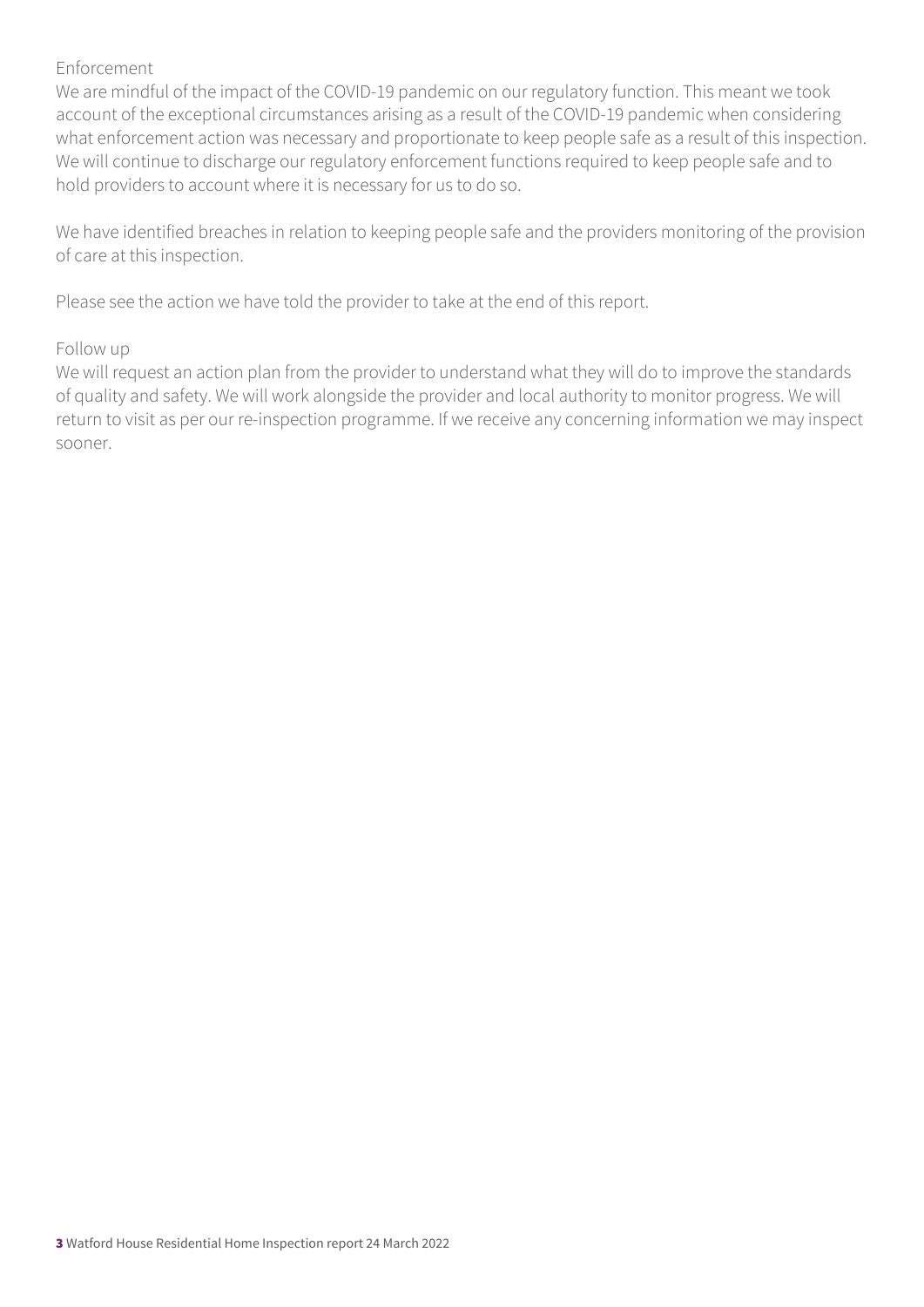#### Enforcement

We are mindful of the impact of the COVID-19 pandemic on our regulatory function. This meant we took account of the exceptional circumstances arising as a result of the COVID-19 pandemic when considering what enforcement action was necessary and proportionate to keep people safe as a result of this inspection. We will continue to discharge our regulatory enforcement functions required to keep people safe and to hold providers to account where it is necessary for us to do so.

We have identified breaches in relation to keeping people safe and the providers monitoring of the provision of care at this inspection.

Please see the action we have told the provider to take at the end of this report.

#### Follow up

We will request an action plan from the provider to understand what they will do to improve the standards of quality and safety. We will work alongside the provider and local authority to monitor progress. We will return to visit as per our re-inspection programme. If we receive any concerning information we may inspect sooner.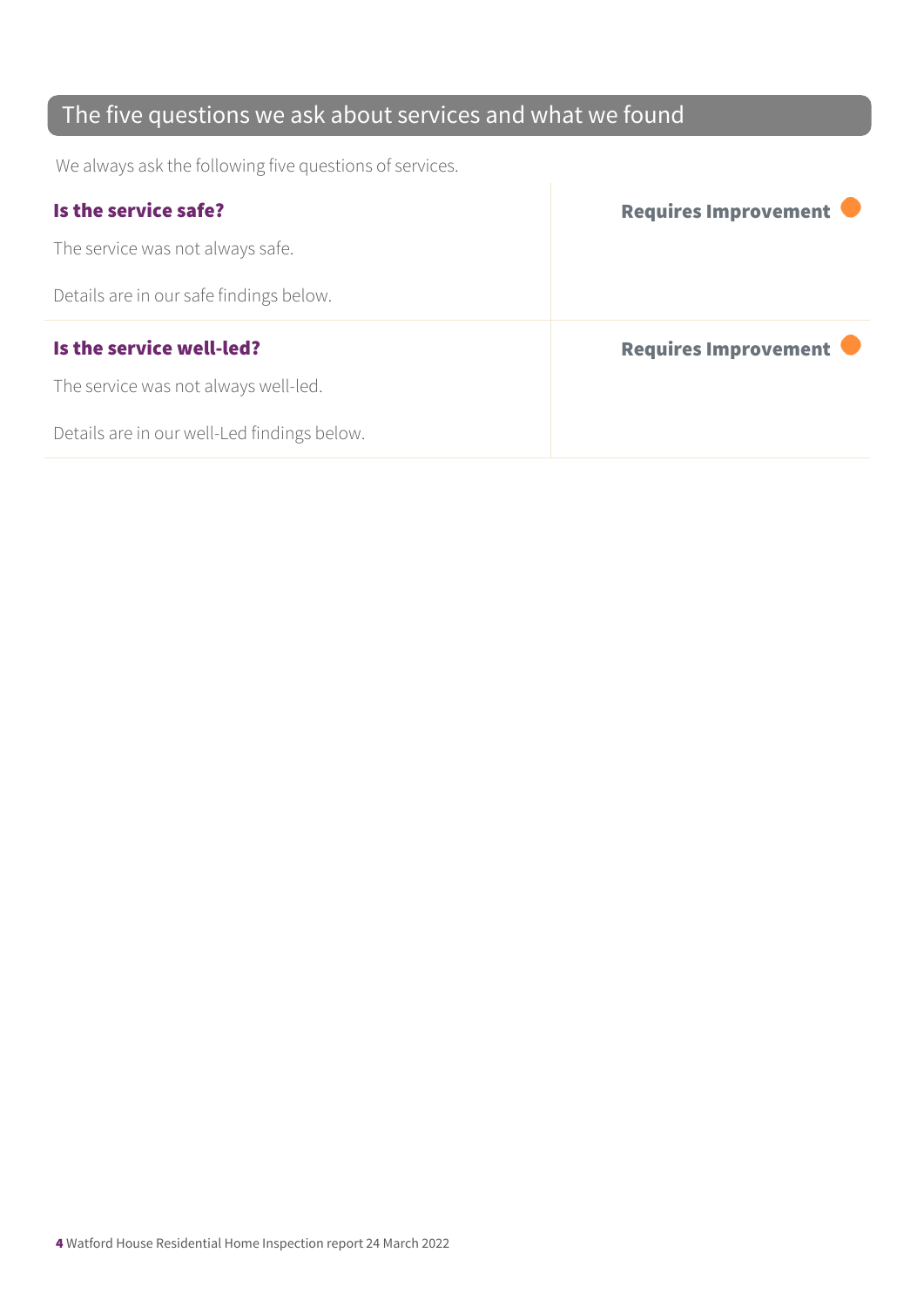## The five questions we ask about services and what we found

We always ask the following five questions of services.

| Is the service safe?                    | Requires Improvement |
|-----------------------------------------|----------------------|
| The service was not always safe.        |                      |
| Details are in our safe findings below. |                      |
|                                         |                      |
| Is the service well-led?                | Requires Improvement |
| The service was not always well-led.    |                      |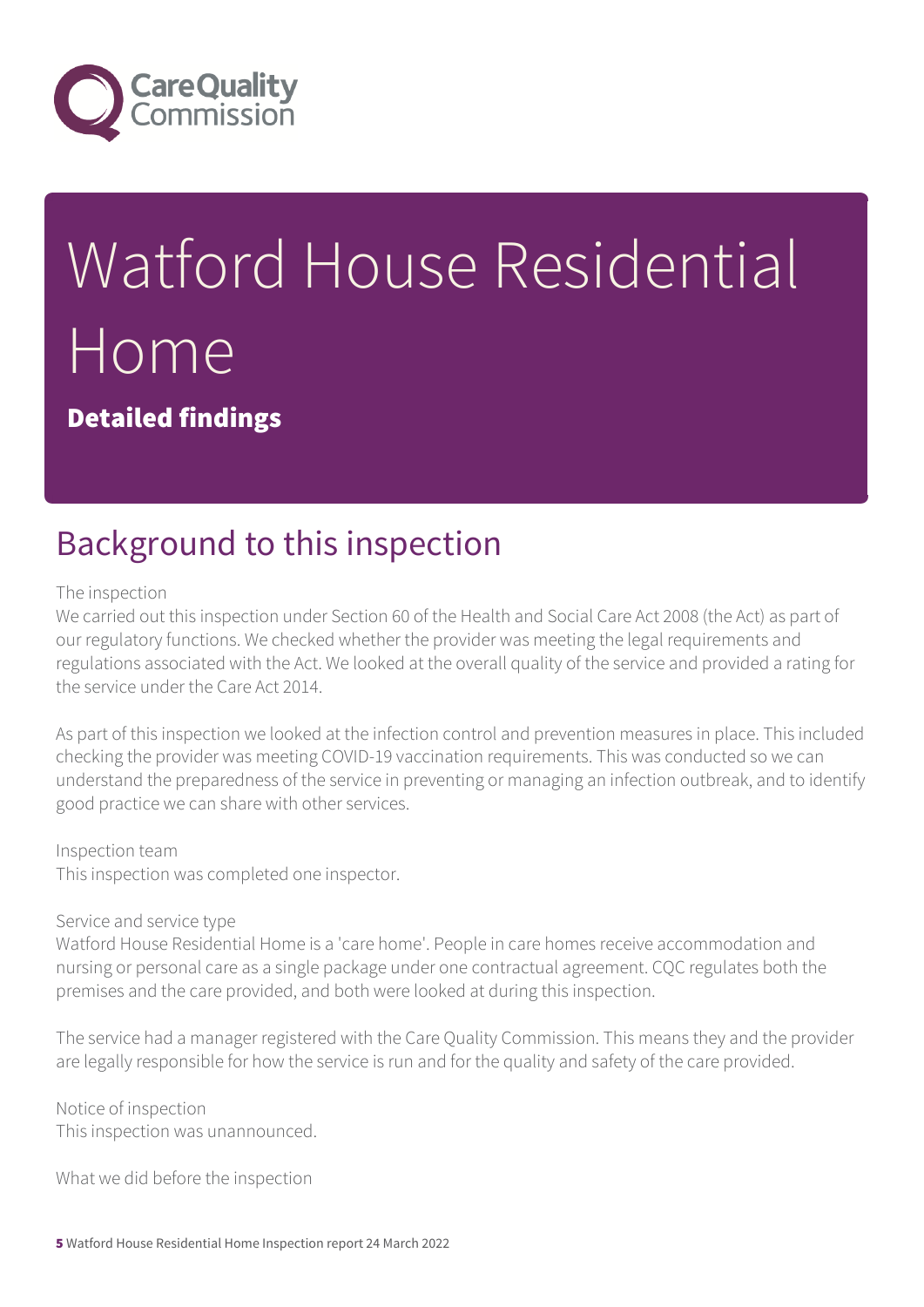

# Watford House Residential Home

Detailed findings

# Background to this inspection

#### The inspection

We carried out this inspection under Section 60 of the Health and Social Care Act 2008 (the Act) as part of our regulatory functions. We checked whether the provider was meeting the legal requirements and regulations associated with the Act. We looked at the overall quality of the service and provided a rating for the service under the Care Act 2014.

As part of this inspection we looked at the infection control and prevention measures in place. This included checking the provider was meeting COVID-19 vaccination requirements. This was conducted so we can understand the preparedness of the service in preventing or managing an infection outbreak, and to identify good practice we can share with other services.

#### Inspection team

This inspection was completed one inspector.

#### Service and service type

Watford House Residential Home is a 'care home'. People in care homes receive accommodation and nursing or personal care as a single package under one contractual agreement. CQC regulates both the premises and the care provided, and both were looked at during this inspection.

The service had a manager registered with the Care Quality Commission. This means they and the provider are legally responsible for how the service is run and for the quality and safety of the care provided.

Notice of inspection This inspection was unannounced.

What we did before the inspection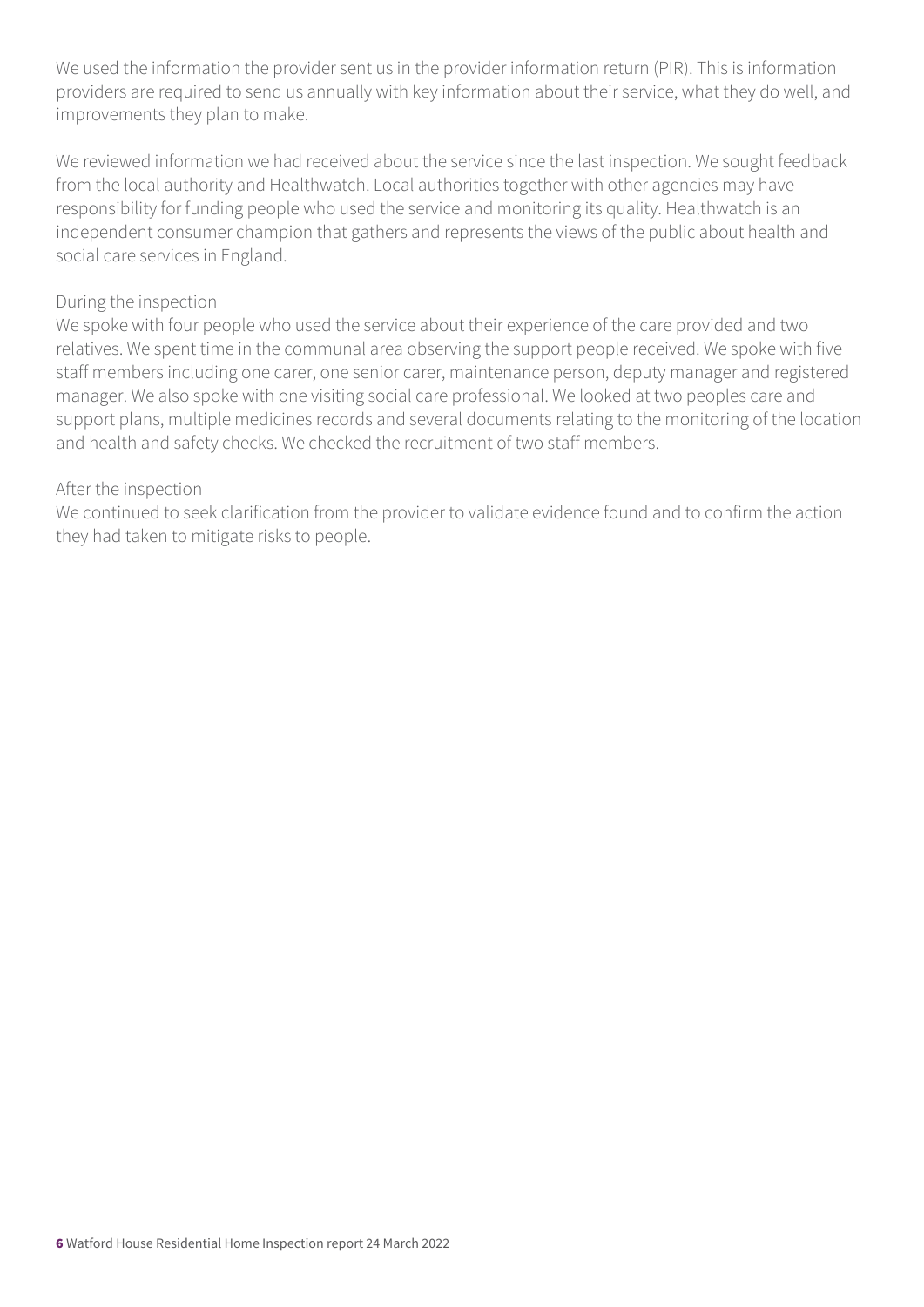We used the information the provider sent us in the provider information return (PIR). This is information providers are required to send us annually with key information about their service, what they do well, and improvements they plan to make.

We reviewed information we had received about the service since the last inspection. We sought feedback from the local authority and Healthwatch. Local authorities together with other agencies may have responsibility for funding people who used the service and monitoring its quality. Healthwatch is an independent consumer champion that gathers and represents the views of the public about health and social care services in England.

#### During the inspection

We spoke with four people who used the service about their experience of the care provided and two relatives. We spent time in the communal area observing the support people received. We spoke with five staff members including one carer, one senior carer, maintenance person, deputy manager and registered manager. We also spoke with one visiting social care professional. We looked at two peoples care and support plans, multiple medicines records and several documents relating to the monitoring of the location and health and safety checks. We checked the recruitment of two staff members.

#### After the inspection

We continued to seek clarification from the provider to validate evidence found and to confirm the action they had taken to mitigate risks to people.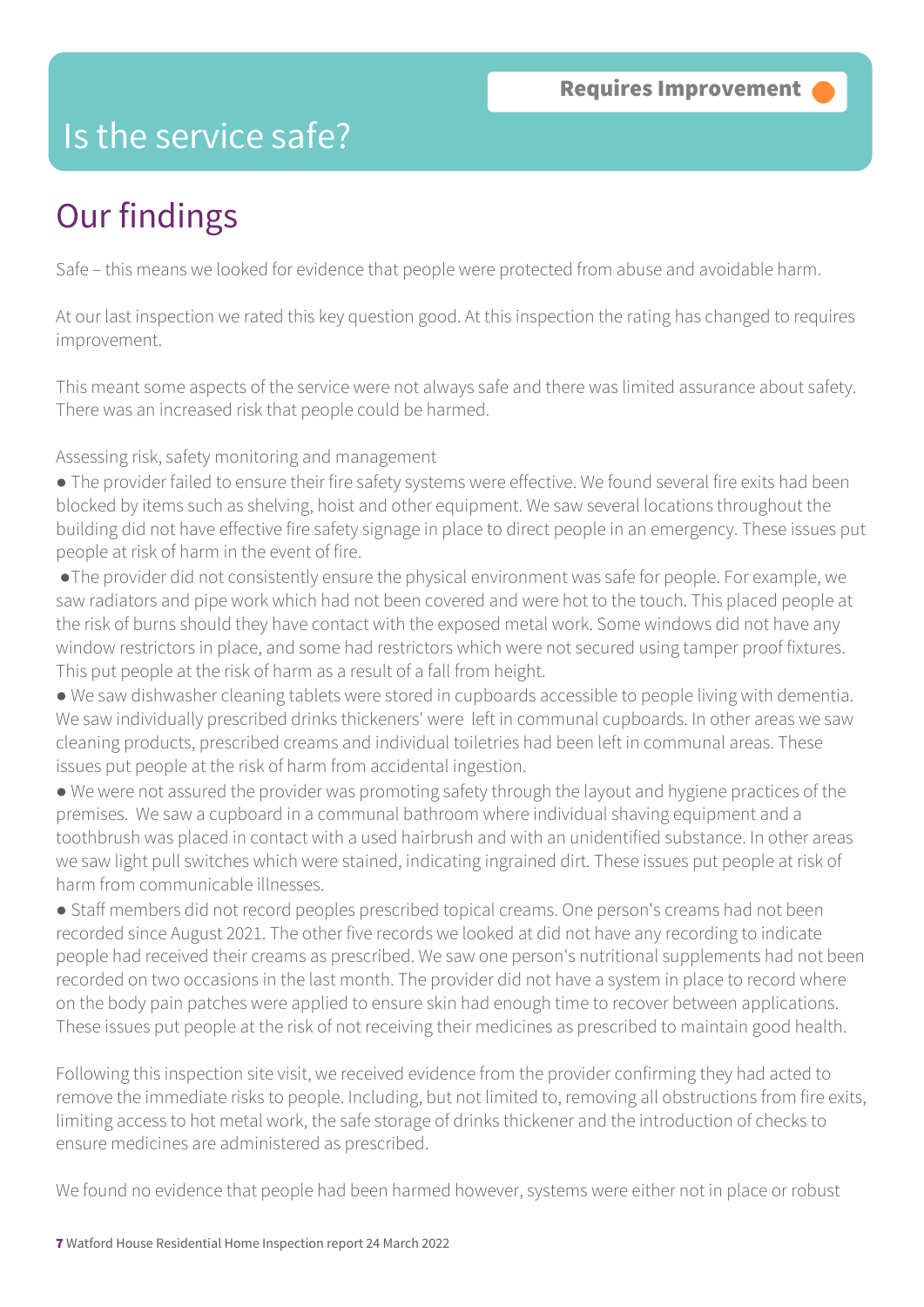## Is the service safe?

# Our findings

Safe – this means we looked for evidence that people were protected from abuse and avoidable harm.

At our last inspection we rated this key question good. At this inspection the rating has changed to requires improvement.

This meant some aspects of the service were not always safe and there was limited assurance about safety. There was an increased risk that people could be harmed.

Assessing risk, safety monitoring and management

- The provider failed to ensure their fire safety systems were effective. We found several fire exits had been blocked by items such as shelving, hoist and other equipment. We saw several locations throughout the building did not have effective fire safety signage in place to direct people in an emergency. These issues put people at risk of harm in the event of fire.
- ●The provider did not consistently ensure the physical environment was safe for people. For example, we saw radiators and pipe work which had not been covered and were hot to the touch. This placed people at the risk of burns should they have contact with the exposed metal work. Some windows did not have any window restrictors in place, and some had restrictors which were not secured using tamper proof fixtures. This put people at the risk of harm as a result of a fall from height.
- We saw dishwasher cleaning tablets were stored in cupboards accessible to people living with dementia. We saw individually prescribed drinks thickeners' were left in communal cupboards. In other areas we saw cleaning products, prescribed creams and individual toiletries had been left in communal areas. These issues put people at the risk of harm from accidental ingestion.
- We were not assured the provider was promoting safety through the layout and hygiene practices of the premises. We saw a cupboard in a communal bathroom where individual shaving equipment and a toothbrush was placed in contact with a used hairbrush and with an unidentified substance. In other areas we saw light pull switches which were stained, indicating ingrained dirt. These issues put people at risk of harm from communicable illnesses.
- Staff members did not record peoples prescribed topical creams. One person's creams had not been recorded since August 2021. The other five records we looked at did not have any recording to indicate people had received their creams as prescribed. We saw one person's nutritional supplements had not been recorded on two occasions in the last month. The provider did not have a system in place to record where on the body pain patches were applied to ensure skin had enough time to recover between applications. These issues put people at the risk of not receiving their medicines as prescribed to maintain good health.

Following this inspection site visit, we received evidence from the provider confirming they had acted to remove the immediate risks to people. Including, but not limited to, removing all obstructions from fire exits, limiting access to hot metal work, the safe storage of drinks thickener and the introduction of checks to ensure medicines are administered as prescribed.

We found no evidence that people had been harmed however, systems were either not in place or robust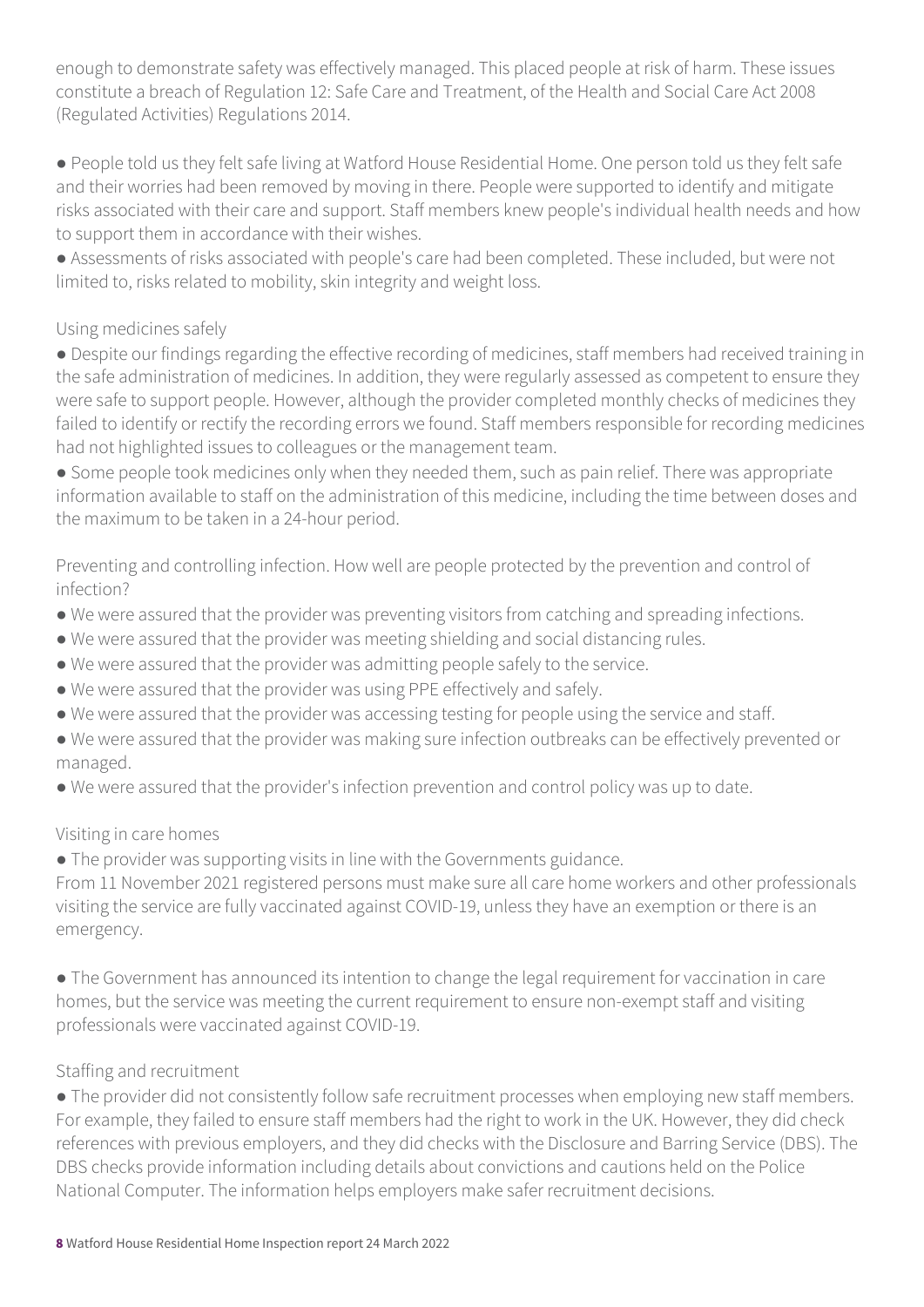enough to demonstrate safety was effectively managed. This placed people at risk of harm. These issues constitute a breach of Regulation 12: Safe Care and Treatment, of the Health and Social Care Act 2008 (Regulated Activities) Regulations 2014.

● People told us they felt safe living at Watford House Residential Home. One person told us they felt safe and their worries had been removed by moving in there. People were supported to identify and mitigate risks associated with their care and support. Staff members knew people's individual health needs and how to support them in accordance with their wishes.

● Assessments of risks associated with people's care had been completed. These included, but were not limited to, risks related to mobility, skin integrity and weight loss.

#### Using medicines safely

● Despite our findings regarding the effective recording of medicines, staff members had received training in the safe administration of medicines. In addition, they were regularly assessed as competent to ensure they were safe to support people. However, although the provider completed monthly checks of medicines they failed to identify or rectify the recording errors we found. Staff members responsible for recording medicines had not highlighted issues to colleagues or the management team.

● Some people took medicines only when they needed them, such as pain relief. There was appropriate information available to staff on the administration of this medicine, including the time between doses and the maximum to be taken in a 24-hour period.

Preventing and controlling infection. How well are people protected by the prevention and control of infection?

- We were assured that the provider was preventing visitors from catching and spreading infections.
- We were assured that the provider was meeting shielding and social distancing rules.
- We were assured that the provider was admitting people safely to the service.
- We were assured that the provider was using PPE effectively and safely.
- We were assured that the provider was accessing testing for people using the service and staff.
- We were assured that the provider was making sure infection outbreaks can be effectively prevented or managed.
- We were assured that the provider's infection prevention and control policy was up to date.

#### Visiting in care homes

● The provider was supporting visits in line with the Governments guidance.

From 11 November 2021 registered persons must make sure all care home workers and other professionals visiting the service are fully vaccinated against COVID-19, unless they have an exemption or there is an emergency.

● The Government has announced its intention to change the legal requirement for vaccination in care homes, but the service was meeting the current requirement to ensure non-exempt staff and visiting professionals were vaccinated against COVID-19.

#### Staffing and recruitment

● The provider did not consistently follow safe recruitment processes when employing new staff members. For example, they failed to ensure staff members had the right to work in the UK. However, they did check references with previous employers, and they did checks with the Disclosure and Barring Service (DBS). The DBS checks provide information including details about convictions and cautions held on the Police National Computer. The information helps employers make safer recruitment decisions.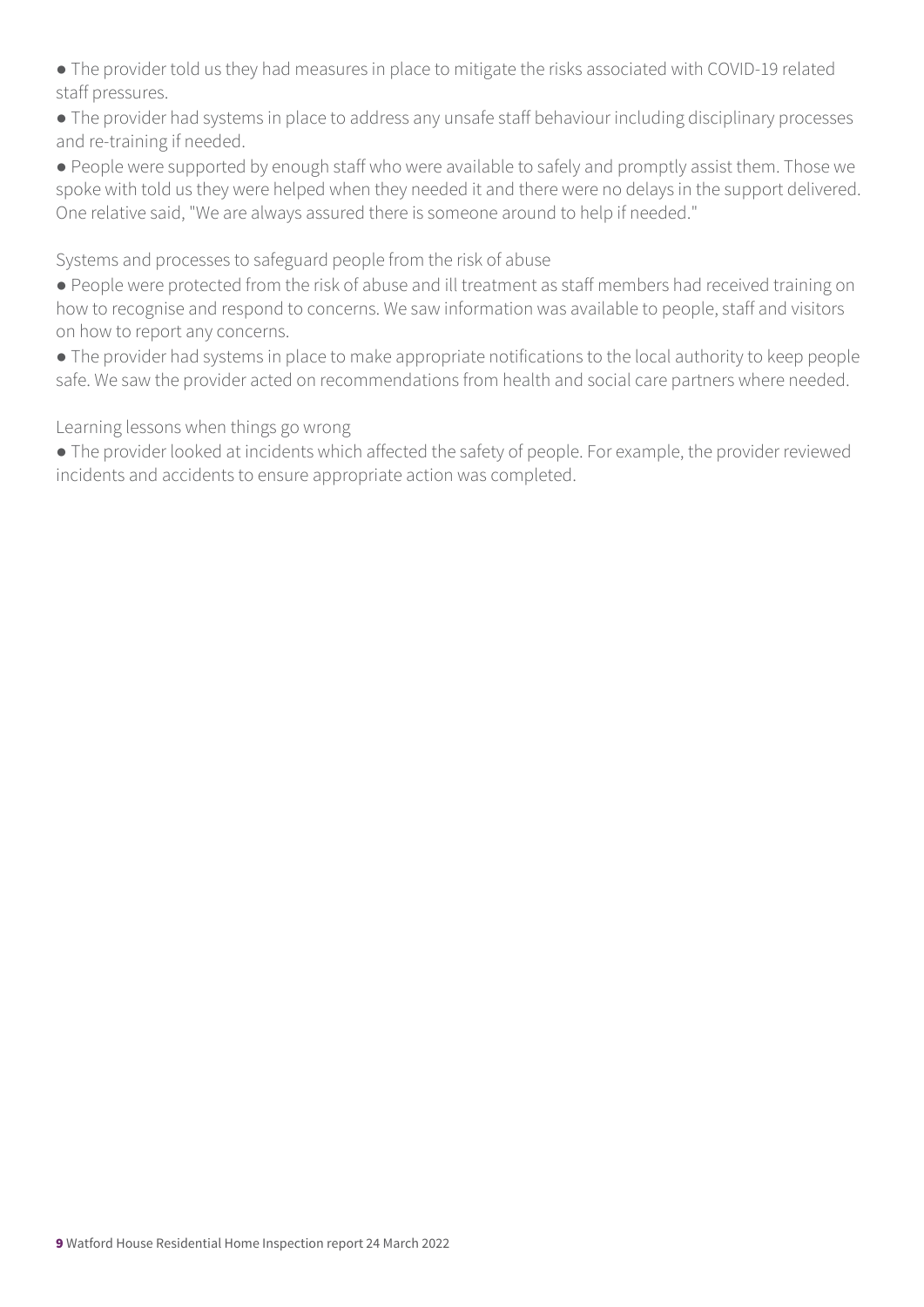● The provider told us they had measures in place to mitigate the risks associated with COVID-19 related staff pressures.

● The provider had systems in place to address any unsafe staff behaviour including disciplinary processes and re-training if needed.

● People were supported by enough staff who were available to safely and promptly assist them. Those we spoke with told us they were helped when they needed it and there were no delays in the support delivered. One relative said, "We are always assured there is someone around to help if needed."

Systems and processes to safeguard people from the risk of abuse

● People were protected from the risk of abuse and ill treatment as staff members had received training on how to recognise and respond to concerns. We saw information was available to people, staff and visitors on how to report any concerns.

● The provider had systems in place to make appropriate notifications to the local authority to keep people safe. We saw the provider acted on recommendations from health and social care partners where needed.

Learning lessons when things go wrong

● The provider looked at incidents which affected the safety of people. For example, the provider reviewed incidents and accidents to ensure appropriate action was completed.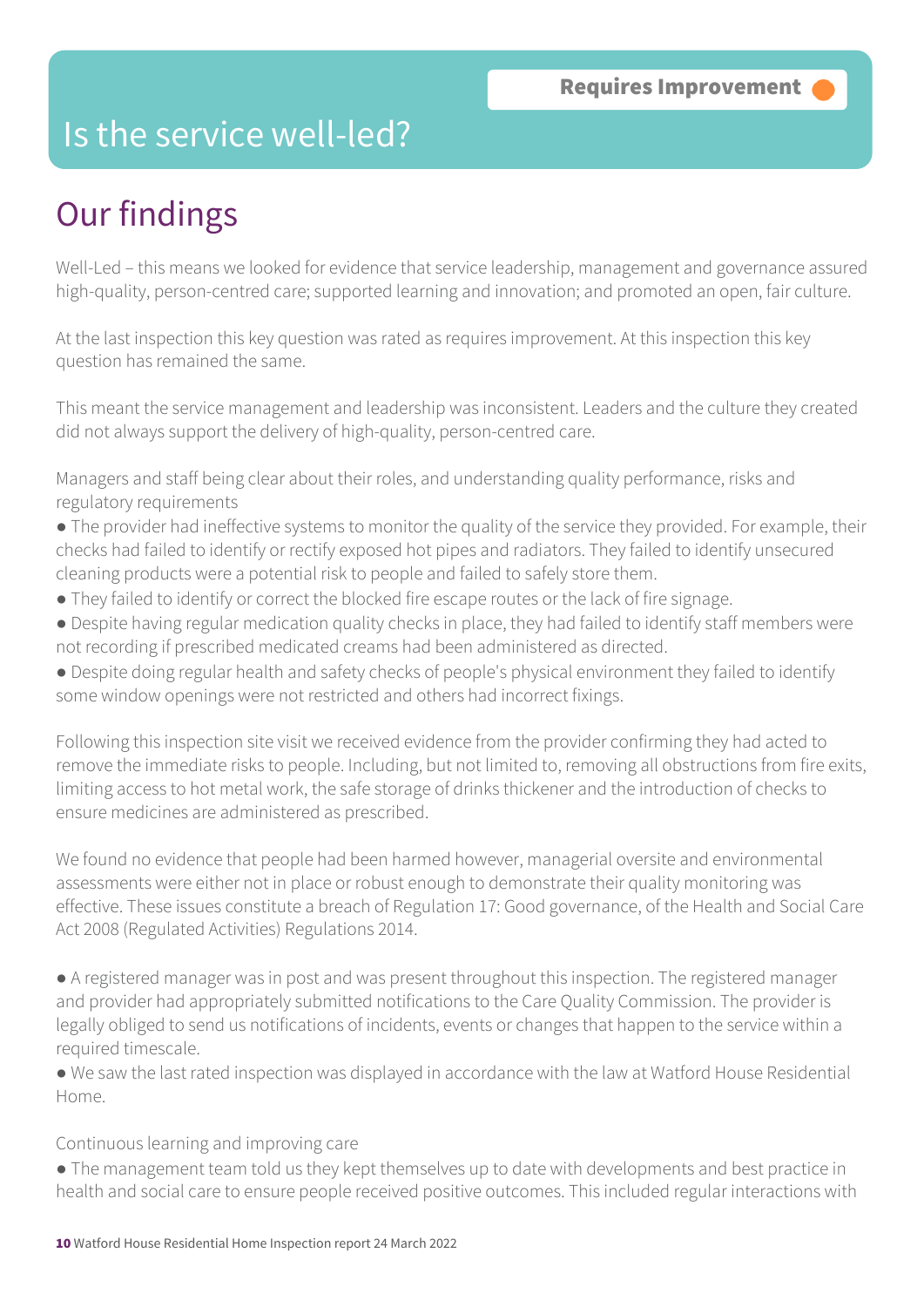## Is the service well-led?

# Our findings

Well-Led – this means we looked for evidence that service leadership, management and governance assured high-quality, person-centred care; supported learning and innovation; and promoted an open, fair culture.

At the last inspection this key question was rated as requires improvement. At this inspection this key question has remained the same.

This meant the service management and leadership was inconsistent. Leaders and the culture they created did not always support the delivery of high-quality, person-centred care.

Managers and staff being clear about their roles, and understanding quality performance, risks and regulatory requirements

- The provider had ineffective systems to monitor the quality of the service they provided. For example, their checks had failed to identify or rectify exposed hot pipes and radiators. They failed to identify unsecured cleaning products were a potential risk to people and failed to safely store them.
- They failed to identify or correct the blocked fire escape routes or the lack of fire signage.
- Despite having regular medication quality checks in place, they had failed to identify staff members were not recording if prescribed medicated creams had been administered as directed.
- Despite doing regular health and safety checks of people's physical environment they failed to identify some window openings were not restricted and others had incorrect fixings.

Following this inspection site visit we received evidence from the provider confirming they had acted to remove the immediate risks to people. Including, but not limited to, removing all obstructions from fire exits, limiting access to hot metal work, the safe storage of drinks thickener and the introduction of checks to ensure medicines are administered as prescribed.

We found no evidence that people had been harmed however, managerial oversite and environmental assessments were either not in place or robust enough to demonstrate their quality monitoring was effective. These issues constitute a breach of Regulation 17: Good governance, of the Health and Social Care Act 2008 (Regulated Activities) Regulations 2014.

● A registered manager was in post and was present throughout this inspection. The registered manager and provider had appropriately submitted notifications to the Care Quality Commission. The provider is legally obliged to send us notifications of incidents, events or changes that happen to the service within a required timescale.

● We saw the last rated inspection was displayed in accordance with the law at Watford House Residential Home.

#### Continuous learning and improving care

● The management team told us they kept themselves up to date with developments and best practice in health and social care to ensure people received positive outcomes. This included regular interactions with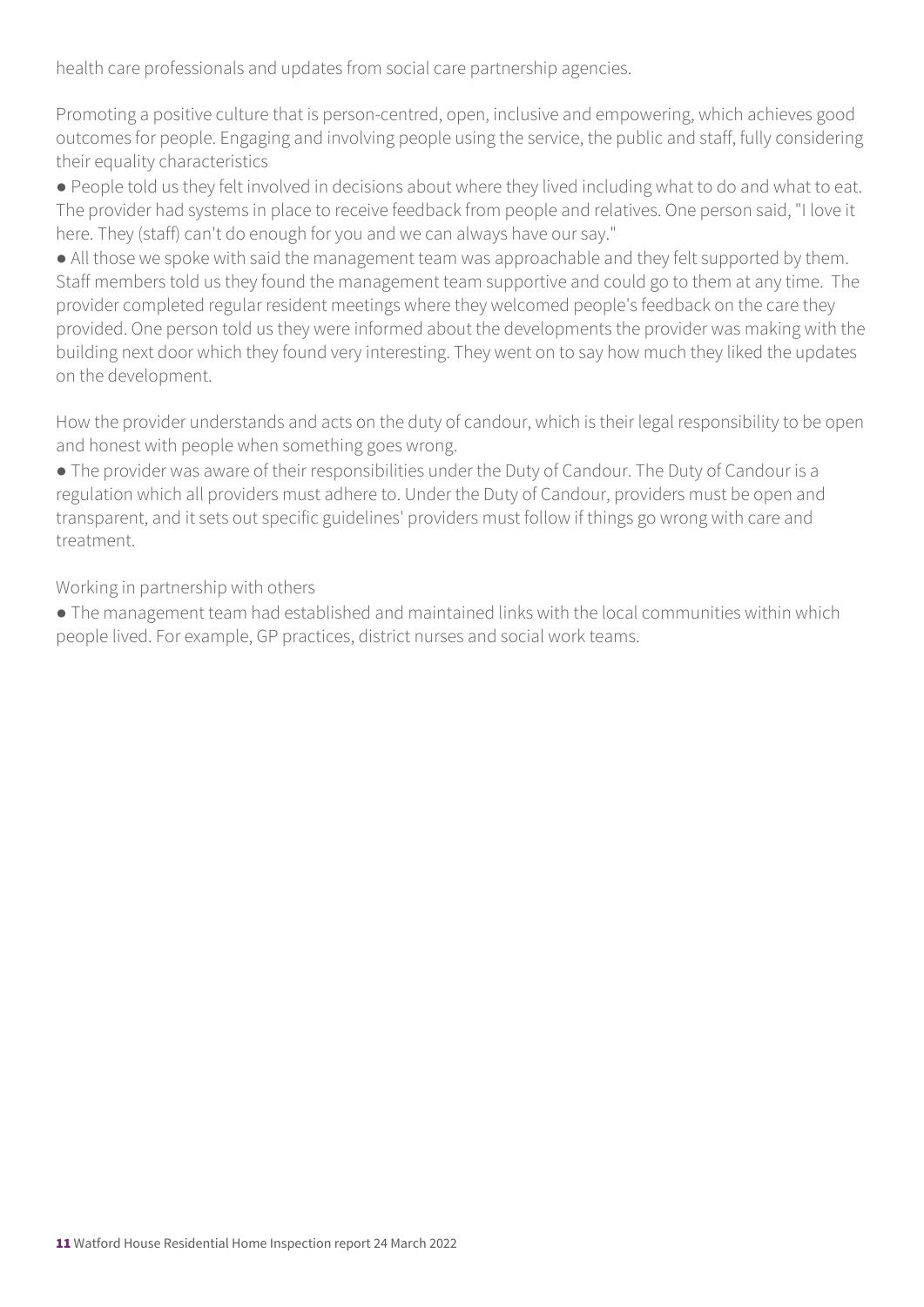health care professionals and updates from social care partnership agencies.

Promoting a positive culture that is person-centred, open, inclusive and empowering, which achieves good outcomes for people. Engaging and involving people using the service, the public and staff, fully considering their equality characteristics

● People told us they felt involved in decisions about where they lived including what to do and what to eat. The provider had systems in place to receive feedback from people and relatives. One person said, "I love it here. They (staff) can't do enough for you and we can always have our say."

● All those we spoke with said the management team was approachable and they felt supported by them. Staff members told us they found the management team supportive and could go to them at any time. The provider completed regular resident meetings where they welcomed people's feedback on the care they provided. One person told us they were informed about the developments the provider was making with the building next door which they found very interesting. They went on to say how much they liked the updates on the development.

How the provider understands and acts on the duty of candour, which is their legal responsibility to be open and honest with people when something goes wrong.

● The provider was aware of their responsibilities under the Duty of Candour. The Duty of Candour is a regulation which all providers must adhere to. Under the Duty of Candour, providers must be open and transparent, and it sets out specific guidelines' providers must follow if things go wrong with care and treatment.

Working in partnership with others

● The management team had established and maintained links with the local communities within which people lived. For example, GP practices, district nurses and social work teams.